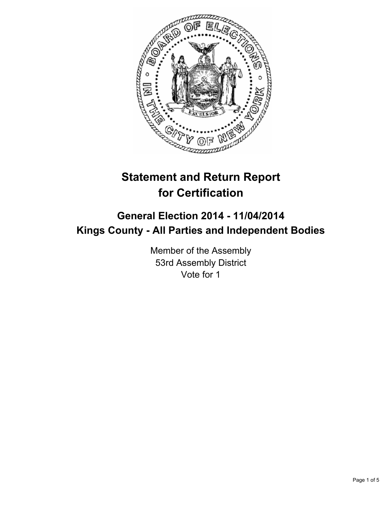

# **Statement and Return Report for Certification**

## **General Election 2014 - 11/04/2014 Kings County - All Parties and Independent Bodies**

Member of the Assembly 53rd Assembly District Vote for 1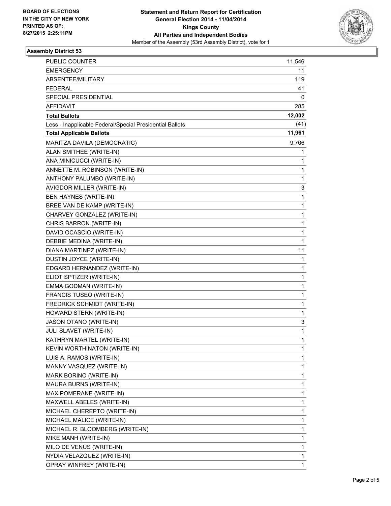

### **Assembly District 53**

| PUBLIC COUNTER                                           | 11,546       |
|----------------------------------------------------------|--------------|
| <b>EMERGENCY</b>                                         | 11           |
| ABSENTEE/MILITARY                                        | 119          |
| <b>FEDERAL</b>                                           | 41           |
| <b>SPECIAL PRESIDENTIAL</b>                              | 0            |
| <b>AFFIDAVIT</b>                                         | 285          |
| <b>Total Ballots</b>                                     | 12,002       |
| Less - Inapplicable Federal/Special Presidential Ballots | (41)         |
| <b>Total Applicable Ballots</b>                          | 11,961       |
| MARITZA DAVILA (DEMOCRATIC)                              | 9,706        |
| ALAN SMITHEE (WRITE-IN)                                  | 1            |
| ANA MINICUCCI (WRITE-IN)                                 | 1            |
| ANNETTE M. ROBINSON (WRITE-IN)                           | 1            |
| ANTHONY PALUMBO (WRITE-IN)                               | 1            |
| AVIGDOR MILLER (WRITE-IN)                                | 3            |
| <b>BEN HAYNES (WRITE-IN)</b>                             | 1            |
| BREE VAN DE KAMP (WRITE-IN)                              | 1            |
| CHARVEY GONZALEZ (WRITE-IN)                              | 1            |
| CHRIS BARRON (WRITE-IN)                                  | 1            |
| DAVID OCASCIO (WRITE-IN)                                 | 1            |
| DEBBIE MEDINA (WRITE-IN)                                 | 1            |
| DIANA MARTINEZ (WRITE-IN)                                | 11           |
| DUSTIN JOYCE (WRITE-IN)                                  | 1            |
| EDGARD HERNANDEZ (WRITE-IN)                              | 1            |
| ELIOT SPTIZER (WRITE-IN)                                 | 1            |
| EMMA GODMAN (WRITE-IN)                                   | 1            |
| FRANCIS TUSEO (WRITE-IN)                                 | 1            |
| FREDRICK SCHMIDT (WRITE-IN)                              | 1            |
| HOWARD STERN (WRITE-IN)                                  | 1            |
| JASON OTANO (WRITE-IN)                                   | 3            |
| JULI SLAVET (WRITE-IN)                                   | 1            |
| KATHRYN MARTEL (WRITE-IN)                                | 1            |
| KEVIN WORTHINATON (WRITE-IN)                             | 1            |
| LUIS A. RAMOS (WRITE-IN)                                 | 1            |
| MANNY VASQUEZ (WRITE-IN)                                 | 1            |
| MARK BORINO (WRITE-IN)                                   | 1            |
| MAURA BURNS (WRITE-IN)                                   | 1            |
| MAX POMERANE (WRITE-IN)                                  | 1            |
| MAXWELL ABELES (WRITE-IN)                                | 1            |
| MICHAEL CHEREPTO (WRITE-IN)                              | 1            |
| MICHAEL MALICE (WRITE-IN)                                | 1            |
| MICHAEL R. BLOOMBERG (WRITE-IN)                          | 1            |
| MIKE MANH (WRITE-IN)                                     | 1            |
| MILO DE VENUS (WRITE-IN)                                 | 1            |
| NYDIA VELAZQUEZ (WRITE-IN)                               | 1            |
| OPRAY WINFREY (WRITE-IN)                                 | $\mathbf{1}$ |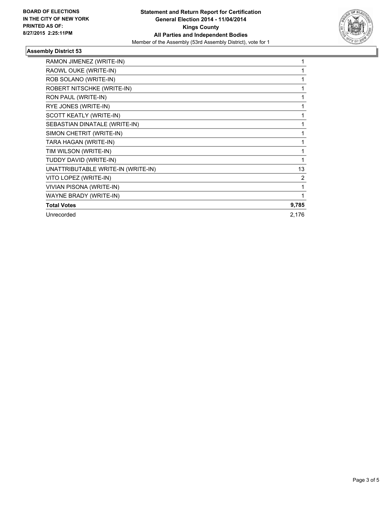

### **Assembly District 53**

| RAMON JIMENEZ (WRITE-IN)           |       |
|------------------------------------|-------|
| RAOWL OUKE (WRITE-IN)              |       |
| ROB SOLANO (WRITE-IN)              |       |
| ROBERT NITSCHKE (WRITE-IN)         |       |
| RON PAUL (WRITE-IN)                |       |
| RYE JONES (WRITE-IN)               |       |
| SCOTT KEATLY (WRITE-IN)            |       |
| SEBASTIAN DINATALE (WRITE-IN)      |       |
| SIMON CHETRIT (WRITE-IN)           |       |
| TARA HAGAN (WRITE-IN)              | 1     |
| TIM WILSON (WRITE-IN)              |       |
| TUDDY DAVID (WRITE-IN)             |       |
| UNATTRIBUTABLE WRITE-IN (WRITE-IN) | 13    |
| VITO LOPEZ (WRITE-IN)              | 2     |
| VIVIAN PISONA (WRITE-IN)           |       |
| WAYNE BRADY (WRITE-IN)             |       |
| <b>Total Votes</b>                 | 9,785 |
| Unrecorded                         | 2,176 |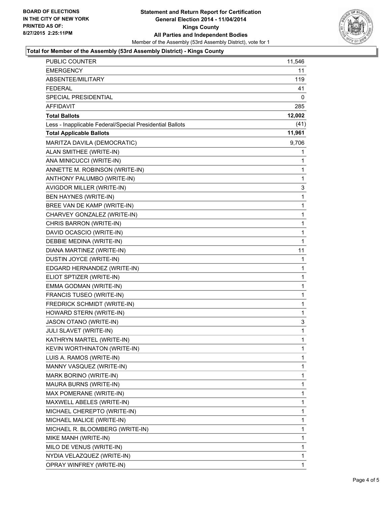

### **Total for Member of the Assembly (53rd Assembly District) - Kings County**

| <b>EMERGENCY</b><br>11<br>ABSENTEE/MILITARY<br>119<br><b>FEDERAL</b><br>41<br><b>SPECIAL PRESIDENTIAL</b><br>0<br><b>AFFIDAVIT</b><br>285<br>12,002<br><b>Total Ballots</b><br>(41)<br>Less - Inapplicable Federal/Special Presidential Ballots<br>11,961<br><b>Total Applicable Ballots</b><br>MARITZA DAVILA (DEMOCRATIC)<br>9,706<br>ALAN SMITHEE (WRITE-IN)<br>1<br>ANA MINICUCCI (WRITE-IN)<br>1<br>ANNETTE M. ROBINSON (WRITE-IN)<br>1<br>ANTHONY PALUMBO (WRITE-IN)<br>1<br>AVIGDOR MILLER (WRITE-IN)<br>3<br>BEN HAYNES (WRITE-IN)<br>1<br>BREE VAN DE KAMP (WRITE-IN)<br>1<br>CHARVEY GONZALEZ (WRITE-IN)<br>1<br>CHRIS BARRON (WRITE-IN)<br>1<br>DAVID OCASCIO (WRITE-IN)<br>1<br>$\mathbf{1}$<br>DEBBIE MEDINA (WRITE-IN)<br>DIANA MARTINEZ (WRITE-IN)<br>11<br>DUSTIN JOYCE (WRITE-IN)<br>1<br>EDGARD HERNANDEZ (WRITE-IN)<br>1<br>ELIOT SPTIZER (WRITE-IN)<br>1<br>EMMA GODMAN (WRITE-IN)<br>1<br>$\mathbf{1}$<br>FRANCIS TUSEO (WRITE-IN)<br>FREDRICK SCHMIDT (WRITE-IN)<br>1<br>HOWARD STERN (WRITE-IN)<br>1<br>JASON OTANO (WRITE-IN)<br>3<br>JULI SLAVET (WRITE-IN)<br>1<br>KATHRYN MARTEL (WRITE-IN)<br>$\mathbf{1}$<br>KEVIN WORTHINATON (WRITE-IN)<br>1<br>LUIS A. RAMOS (WRITE-IN)<br>1<br>MANNY VASQUEZ (WRITE-IN)<br>1<br>1<br>MARK BORINO (WRITE-IN)<br>MAURA BURNS (WRITE-IN)<br>1<br>MAX POMERANE (WRITE-IN)<br>1<br>MAXWELL ABELES (WRITE-IN)<br>1<br>MICHAEL CHEREPTO (WRITE-IN)<br>1<br>MICHAEL MALICE (WRITE-IN)<br>1<br>MICHAEL R. BLOOMBERG (WRITE-IN)<br>1<br>MIKE MANH (WRITE-IN)<br>1<br>MILO DE VENUS (WRITE-IN)<br>1<br>NYDIA VELAZQUEZ (WRITE-IN)<br>1<br>OPRAY WINFREY (WRITE-IN)<br>1 | PUBLIC COUNTER | 11,546 |
|-------------------------------------------------------------------------------------------------------------------------------------------------------------------------------------------------------------------------------------------------------------------------------------------------------------------------------------------------------------------------------------------------------------------------------------------------------------------------------------------------------------------------------------------------------------------------------------------------------------------------------------------------------------------------------------------------------------------------------------------------------------------------------------------------------------------------------------------------------------------------------------------------------------------------------------------------------------------------------------------------------------------------------------------------------------------------------------------------------------------------------------------------------------------------------------------------------------------------------------------------------------------------------------------------------------------------------------------------------------------------------------------------------------------------------------------------------------------------------------------------------------------------------------------------------------------------------------------------------------------------------|----------------|--------|
|                                                                                                                                                                                                                                                                                                                                                                                                                                                                                                                                                                                                                                                                                                                                                                                                                                                                                                                                                                                                                                                                                                                                                                                                                                                                                                                                                                                                                                                                                                                                                                                                                               |                |        |
|                                                                                                                                                                                                                                                                                                                                                                                                                                                                                                                                                                                                                                                                                                                                                                                                                                                                                                                                                                                                                                                                                                                                                                                                                                                                                                                                                                                                                                                                                                                                                                                                                               |                |        |
|                                                                                                                                                                                                                                                                                                                                                                                                                                                                                                                                                                                                                                                                                                                                                                                                                                                                                                                                                                                                                                                                                                                                                                                                                                                                                                                                                                                                                                                                                                                                                                                                                               |                |        |
|                                                                                                                                                                                                                                                                                                                                                                                                                                                                                                                                                                                                                                                                                                                                                                                                                                                                                                                                                                                                                                                                                                                                                                                                                                                                                                                                                                                                                                                                                                                                                                                                                               |                |        |
|                                                                                                                                                                                                                                                                                                                                                                                                                                                                                                                                                                                                                                                                                                                                                                                                                                                                                                                                                                                                                                                                                                                                                                                                                                                                                                                                                                                                                                                                                                                                                                                                                               |                |        |
|                                                                                                                                                                                                                                                                                                                                                                                                                                                                                                                                                                                                                                                                                                                                                                                                                                                                                                                                                                                                                                                                                                                                                                                                                                                                                                                                                                                                                                                                                                                                                                                                                               |                |        |
|                                                                                                                                                                                                                                                                                                                                                                                                                                                                                                                                                                                                                                                                                                                                                                                                                                                                                                                                                                                                                                                                                                                                                                                                                                                                                                                                                                                                                                                                                                                                                                                                                               |                |        |
|                                                                                                                                                                                                                                                                                                                                                                                                                                                                                                                                                                                                                                                                                                                                                                                                                                                                                                                                                                                                                                                                                                                                                                                                                                                                                                                                                                                                                                                                                                                                                                                                                               |                |        |
|                                                                                                                                                                                                                                                                                                                                                                                                                                                                                                                                                                                                                                                                                                                                                                                                                                                                                                                                                                                                                                                                                                                                                                                                                                                                                                                                                                                                                                                                                                                                                                                                                               |                |        |
|                                                                                                                                                                                                                                                                                                                                                                                                                                                                                                                                                                                                                                                                                                                                                                                                                                                                                                                                                                                                                                                                                                                                                                                                                                                                                                                                                                                                                                                                                                                                                                                                                               |                |        |
|                                                                                                                                                                                                                                                                                                                                                                                                                                                                                                                                                                                                                                                                                                                                                                                                                                                                                                                                                                                                                                                                                                                                                                                                                                                                                                                                                                                                                                                                                                                                                                                                                               |                |        |
|                                                                                                                                                                                                                                                                                                                                                                                                                                                                                                                                                                                                                                                                                                                                                                                                                                                                                                                                                                                                                                                                                                                                                                                                                                                                                                                                                                                                                                                                                                                                                                                                                               |                |        |
|                                                                                                                                                                                                                                                                                                                                                                                                                                                                                                                                                                                                                                                                                                                                                                                                                                                                                                                                                                                                                                                                                                                                                                                                                                                                                                                                                                                                                                                                                                                                                                                                                               |                |        |
|                                                                                                                                                                                                                                                                                                                                                                                                                                                                                                                                                                                                                                                                                                                                                                                                                                                                                                                                                                                                                                                                                                                                                                                                                                                                                                                                                                                                                                                                                                                                                                                                                               |                |        |
|                                                                                                                                                                                                                                                                                                                                                                                                                                                                                                                                                                                                                                                                                                                                                                                                                                                                                                                                                                                                                                                                                                                                                                                                                                                                                                                                                                                                                                                                                                                                                                                                                               |                |        |
|                                                                                                                                                                                                                                                                                                                                                                                                                                                                                                                                                                                                                                                                                                                                                                                                                                                                                                                                                                                                                                                                                                                                                                                                                                                                                                                                                                                                                                                                                                                                                                                                                               |                |        |
|                                                                                                                                                                                                                                                                                                                                                                                                                                                                                                                                                                                                                                                                                                                                                                                                                                                                                                                                                                                                                                                                                                                                                                                                                                                                                                                                                                                                                                                                                                                                                                                                                               |                |        |
|                                                                                                                                                                                                                                                                                                                                                                                                                                                                                                                                                                                                                                                                                                                                                                                                                                                                                                                                                                                                                                                                                                                                                                                                                                                                                                                                                                                                                                                                                                                                                                                                                               |                |        |
|                                                                                                                                                                                                                                                                                                                                                                                                                                                                                                                                                                                                                                                                                                                                                                                                                                                                                                                                                                                                                                                                                                                                                                                                                                                                                                                                                                                                                                                                                                                                                                                                                               |                |        |
|                                                                                                                                                                                                                                                                                                                                                                                                                                                                                                                                                                                                                                                                                                                                                                                                                                                                                                                                                                                                                                                                                                                                                                                                                                                                                                                                                                                                                                                                                                                                                                                                                               |                |        |
|                                                                                                                                                                                                                                                                                                                                                                                                                                                                                                                                                                                                                                                                                                                                                                                                                                                                                                                                                                                                                                                                                                                                                                                                                                                                                                                                                                                                                                                                                                                                                                                                                               |                |        |
|                                                                                                                                                                                                                                                                                                                                                                                                                                                                                                                                                                                                                                                                                                                                                                                                                                                                                                                                                                                                                                                                                                                                                                                                                                                                                                                                                                                                                                                                                                                                                                                                                               |                |        |
|                                                                                                                                                                                                                                                                                                                                                                                                                                                                                                                                                                                                                                                                                                                                                                                                                                                                                                                                                                                                                                                                                                                                                                                                                                                                                                                                                                                                                                                                                                                                                                                                                               |                |        |
|                                                                                                                                                                                                                                                                                                                                                                                                                                                                                                                                                                                                                                                                                                                                                                                                                                                                                                                                                                                                                                                                                                                                                                                                                                                                                                                                                                                                                                                                                                                                                                                                                               |                |        |
|                                                                                                                                                                                                                                                                                                                                                                                                                                                                                                                                                                                                                                                                                                                                                                                                                                                                                                                                                                                                                                                                                                                                                                                                                                                                                                                                                                                                                                                                                                                                                                                                                               |                |        |
|                                                                                                                                                                                                                                                                                                                                                                                                                                                                                                                                                                                                                                                                                                                                                                                                                                                                                                                                                                                                                                                                                                                                                                                                                                                                                                                                                                                                                                                                                                                                                                                                                               |                |        |
|                                                                                                                                                                                                                                                                                                                                                                                                                                                                                                                                                                                                                                                                                                                                                                                                                                                                                                                                                                                                                                                                                                                                                                                                                                                                                                                                                                                                                                                                                                                                                                                                                               |                |        |
|                                                                                                                                                                                                                                                                                                                                                                                                                                                                                                                                                                                                                                                                                                                                                                                                                                                                                                                                                                                                                                                                                                                                                                                                                                                                                                                                                                                                                                                                                                                                                                                                                               |                |        |
|                                                                                                                                                                                                                                                                                                                                                                                                                                                                                                                                                                                                                                                                                                                                                                                                                                                                                                                                                                                                                                                                                                                                                                                                                                                                                                                                                                                                                                                                                                                                                                                                                               |                |        |
|                                                                                                                                                                                                                                                                                                                                                                                                                                                                                                                                                                                                                                                                                                                                                                                                                                                                                                                                                                                                                                                                                                                                                                                                                                                                                                                                                                                                                                                                                                                                                                                                                               |                |        |
|                                                                                                                                                                                                                                                                                                                                                                                                                                                                                                                                                                                                                                                                                                                                                                                                                                                                                                                                                                                                                                                                                                                                                                                                                                                                                                                                                                                                                                                                                                                                                                                                                               |                |        |
|                                                                                                                                                                                                                                                                                                                                                                                                                                                                                                                                                                                                                                                                                                                                                                                                                                                                                                                                                                                                                                                                                                                                                                                                                                                                                                                                                                                                                                                                                                                                                                                                                               |                |        |
|                                                                                                                                                                                                                                                                                                                                                                                                                                                                                                                                                                                                                                                                                                                                                                                                                                                                                                                                                                                                                                                                                                                                                                                                                                                                                                                                                                                                                                                                                                                                                                                                                               |                |        |
|                                                                                                                                                                                                                                                                                                                                                                                                                                                                                                                                                                                                                                                                                                                                                                                                                                                                                                                                                                                                                                                                                                                                                                                                                                                                                                                                                                                                                                                                                                                                                                                                                               |                |        |
|                                                                                                                                                                                                                                                                                                                                                                                                                                                                                                                                                                                                                                                                                                                                                                                                                                                                                                                                                                                                                                                                                                                                                                                                                                                                                                                                                                                                                                                                                                                                                                                                                               |                |        |
|                                                                                                                                                                                                                                                                                                                                                                                                                                                                                                                                                                                                                                                                                                                                                                                                                                                                                                                                                                                                                                                                                                                                                                                                                                                                                                                                                                                                                                                                                                                                                                                                                               |                |        |
|                                                                                                                                                                                                                                                                                                                                                                                                                                                                                                                                                                                                                                                                                                                                                                                                                                                                                                                                                                                                                                                                                                                                                                                                                                                                                                                                                                                                                                                                                                                                                                                                                               |                |        |
|                                                                                                                                                                                                                                                                                                                                                                                                                                                                                                                                                                                                                                                                                                                                                                                                                                                                                                                                                                                                                                                                                                                                                                                                                                                                                                                                                                                                                                                                                                                                                                                                                               |                |        |
|                                                                                                                                                                                                                                                                                                                                                                                                                                                                                                                                                                                                                                                                                                                                                                                                                                                                                                                                                                                                                                                                                                                                                                                                                                                                                                                                                                                                                                                                                                                                                                                                                               |                |        |
|                                                                                                                                                                                                                                                                                                                                                                                                                                                                                                                                                                                                                                                                                                                                                                                                                                                                                                                                                                                                                                                                                                                                                                                                                                                                                                                                                                                                                                                                                                                                                                                                                               |                |        |
|                                                                                                                                                                                                                                                                                                                                                                                                                                                                                                                                                                                                                                                                                                                                                                                                                                                                                                                                                                                                                                                                                                                                                                                                                                                                                                                                                                                                                                                                                                                                                                                                                               |                |        |
|                                                                                                                                                                                                                                                                                                                                                                                                                                                                                                                                                                                                                                                                                                                                                                                                                                                                                                                                                                                                                                                                                                                                                                                                                                                                                                                                                                                                                                                                                                                                                                                                                               |                |        |
|                                                                                                                                                                                                                                                                                                                                                                                                                                                                                                                                                                                                                                                                                                                                                                                                                                                                                                                                                                                                                                                                                                                                                                                                                                                                                                                                                                                                                                                                                                                                                                                                                               |                |        |
|                                                                                                                                                                                                                                                                                                                                                                                                                                                                                                                                                                                                                                                                                                                                                                                                                                                                                                                                                                                                                                                                                                                                                                                                                                                                                                                                                                                                                                                                                                                                                                                                                               |                |        |
|                                                                                                                                                                                                                                                                                                                                                                                                                                                                                                                                                                                                                                                                                                                                                                                                                                                                                                                                                                                                                                                                                                                                                                                                                                                                                                                                                                                                                                                                                                                                                                                                                               |                |        |